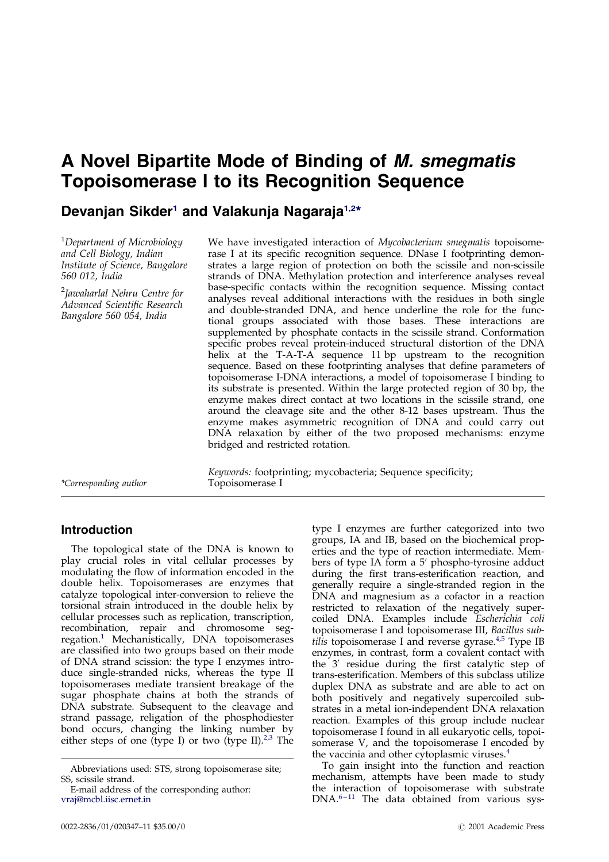# A Novel Bipartite Mode of Binding of M. smegmatis Topoisomerase I to its Recognition Sequence

# Devanjan Sikder<sup>1</sup> and Valakunja Nagaraja<sup>1,2\*</sup>

<sup>1</sup>Department of Microbiology and Cell Biology, Indian Institute of Science, Bangalore 560 012, India

<sup>2</sup>Jawaharlal Nehru Centre for Advanced Scientific Research Bangalore 560 054, India

We have investigated interaction of *Mycobacterium smegmatis* topoisomerase I at its specific recognition sequence. DNase I footprinting demonstrates a large region of protection on both the scissile and non-scissile strands of DNA. Methylation protection and interference analyses reveal base-specific contacts within the recognition sequence. Missing contact analyses reveal additional interactions with the residues in both single and double-stranded DNA, and hence underline the role for the functional groups associated with those bases. These interactions are supplemented by phosphate contacts in the scissile strand. Conformation specific probes reveal protein-induced structural distortion of the DNA helix at the T-A-T-A sequence 11 bp upstream to the recognition sequence. Based on these footprinting analyses that define parameters of topoisomerase I-DNA interactions, a model of topoisomerase I binding to its substrate is presented. Within the large protected region of 30 bp, the enzyme makes direct contact at two locations in the scissile strand, one around the cleavage site and the other 8-12 bases upstream. Thus the enzyme makes asymmetric recognition of DNA and could carry out DNA relaxation by either of the two proposed mechanisms: enzyme bridged and restricted rotation.

\*Corresponding author

Keywords: footprinting; mycobacteria; Sequence specificity; Topoisomerase I

# Introduction

The topological state of the DNA is known to play crucial roles in vital cellular processes by modulating the flow of information encoded in the double helix. Topoisomerases are enzymes that catalyze topological inter-conversion to relieve the torsional strain introduced in the double helix by cellular processes such as replication, transcription, recombi[nat](#page-8-0)ion, repair and chromosome segregation. <sup>1</sup> Mechanistically, DNA topoisomerases are classified into two groups based on their mode of DNA strand scission: the type I enzymes introduce single-stranded nicks, whereas the type II topoisomerases mediate transient breakage of the sugar phosphate chains at both the strands of DNA substrate. Subsequent to the cleavage and strand passage, religation of the phosphodiester bond occurs, changing the linking number by either steps of one (type I) or two (type II). $2<sup>3</sup>$  The

erties and the type of reaction intermediate. Members of type IA form a  $5'$  phospho-tyrosine adduct during the first trans-esterification reaction, and generally require a single-stranded region in the DNA and magnesium as a cofactor in a reaction restricted to relaxation of the negatively supercoiled DNA. Examples include Escherichia coli topoisomerase I and topoisomerase III, Bacillus sub-tilis topoisomerase I and reverse gyrase.<sup>[4,5](#page-8-0)</sup> Type IB enzymes, in contrast, form a covalent contact with the 3' residue during the first catalytic step of trans-esterification. Members of this subclass utilize duplex DNA as substrate and are able to act on both positively and negatively supercoiled substrates in a metal ion-independent DNA relaxation reaction. Examples of this group include nuclear topoisomerase I found in all eukaryotic cells, topoisomerase V, and the topoisomerase I en[cod](#page-8-0)ed by the vaccinia and other cytoplasmic viruses. 4

type I enzymes are further categorized into two groups, IA and IB, based on the biochemical prop-

To gain insight into the function and reaction mechanism, attempts have been made to study the i[ntera](#page-9-0)ction of topoisomerase with substrate  $DNA.<sup>6-11</sup>$  The data obtained from various sys-

Abbreviations used: STS, strong topoisomerase site; SS, scissile strand.

E-mail address of the corresponding author: [vraj@mcbl.iisc.ernet.in](mailto:vraj@mcbl.iisc.ernet.in)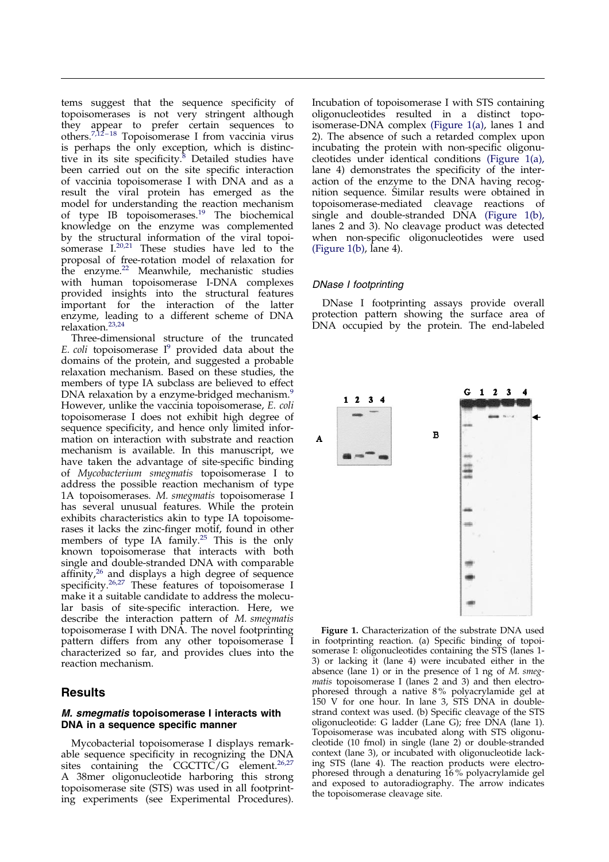<span id="page-1-0"></span>tems suggest that the sequence specificity of topoisomerases is not very stringent although they appear to prefer certain sequences to others.<sup>[7,](#page-9-0)12-[18](#page-9-0)</sup> Topoisomerase I from vaccinia virus is perhaps the only exc[epti](#page-9-0)on, which is distinctive in its site specificity.<sup>8</sup> Detailed studies have been carried out on the site specific interaction of vaccinia topoisomerase I with DNA and as a result the viral protein has emerged as the model for understanding the reaction mechanism of type IB topoisomerases. [19](#page-9-0) The biochemical knowledge on the enzyme was complemented by the structural information of the viral topoisomerase  $I^{20,21}$  $I^{20,21}$  $I^{20,21}$  These studies have led to the proposal of free-rotation model of relaxation for the enzyme.<sup>[22](#page-9-0)</sup> Meanwhile, mechanistic studies with human topoisomerase I-DNA complexes provided insights into the structural features important for the interaction of the latter enzyme, leading to a different scheme of DNA relaxation. [23,24](#page-9-0)

Three-dimensional [str](#page-9-0)ucture of the truncated E. coli topoisomerase  $I^9$  provided data about the domains of the protein, and suggested a probable relaxation mechanism. Based on these studies, the members of type IA subclass are believed to effect DNA relaxation by a enzyme-bridged mechanism.<sup>[9](#page-9-0)</sup> However, unlike the vaccinia topoisomerase, E. coli topoisomerase I does not exhibit high degree of sequence specificity, and hence only limited information on interaction with substrate and reaction mechanism is available. In this manuscript, we have taken the advantage of site-specific binding of Mycobacterium smegmatis topoisomerase I to address the possible reaction mechanism of type 1A topoisomerases. M. smegmatis topoisomerase I has several unusual features. While the protein exhibits characteristics akin to type IA topoisomerases it lacks the zinc-finger motif, found in other members of type IA family. [25](#page-9-0) This is the only known topoisomerase that interacts with both single and double-stranded DNA with comparable affinity,<sup>[26](#page-9-0)</sup> and displays a high degree of sequence specificity.<sup>[26,27](#page-9-0)</sup> These features of topoisomerase I make it a suitable candidate to address the molecular basis of site-specific interaction. Here, we describe the interaction pattern of M. smegmatis topoisomerase I with DNA. The novel footprinting pattern differs from any other topoisomerase I characterized so far, and provides clues into the reaction mechanism.

# **Results**

### M. smegmatis topoisomerase I interacts with DNA in a sequence specific manner

Mycobacterial topoisomerase I displays remarkable sequence specificity in recognizing the DNA sites containing the  $CGCTTC/G$  element.<sup>[26,27](#page-9-0)</sup> A 38mer oligonucleotide harboring this strong topoisomerase site (STS) was used in all footprinting experiments (see Experimental Procedures).

Incubation of topoisomerase I with STS containing oligonucleotides resulted in a distinct topoisomerase-DNA complex (Figure 1(a), lanes 1 and 2). The absence of such a retarded complex upon incubating the protein with non-specific oligonucleotides under identical conditions (Figure 1(a), lane 4) demonstrates the specificity of the interaction of the enzyme to the DNA having recognition sequence. Similar results were obtained in topoisomerase-mediated cleavage reactions of single and double-stranded DNA (Figure 1(b), lanes 2 and 3). No cleavage product was detected when non-specific oligonucleotides were used (Figure  $1(b)$ , lane 4).

### DNase I footprinting

DNase I footprinting assays provide overall protection pattern showing the surface area of DNA occupied by the protein. The end-labeled



Figure 1. Characterization of the substrate DNA used in footprinting reaction. (a) Specific binding of topoisomerase I: oligonucleotides containing the STS (lanes 1- 3) or lacking it (lane 4) were incubated either in the absence (lane 1) or in the presence of 1 ng of  $M$ . smegmatis topoisomerase I (lanes 2 and 3) and then electrophoresed through a native 8 % polyacrylamide gel at 150 V for one hour. In lane 3, STS DNA in doublestrand context was used. (b) Specific cleavage of the STS oligonucleotide: G ladder (Lane G); free DNA (lane 1). Topoisomerase was incubated along with STS oligonucleotide (10 fmol) in single (lane 2) or double-stranded context (lane 3), or incubated with oligonucleotide lacking STS (lane 4). The reaction products were electrophoresed through a denaturing 16 % polyacrylamide gel and exposed to autoradiography. The arrow indicates the topoisomerase cleavage site.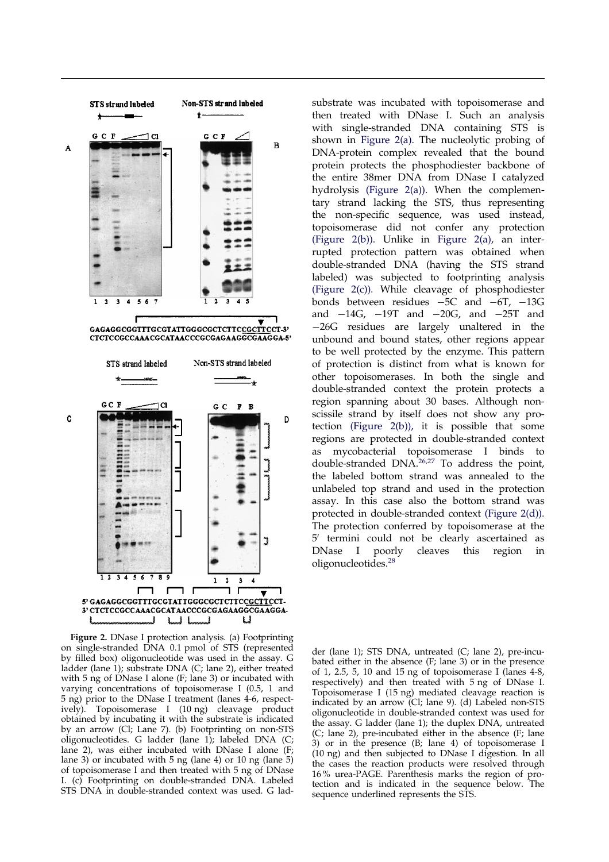

Figure 2. DNase I protection analysis. (a) Footprinting on single-stranded DNA 0.1 pmol of STS (represented by filled box) oligonucleotide was used in the assay. G ladder (lane 1); substrate DNA (C; lane 2), either treated with 5 ng of DNase I alone (F; lane 3) or incubated with varying concentrations of topoisomerase I (0.5, 1 and 5 ng) prior to the DNase I treatment (lanes 4-6, respectively). Topoisomerase I (10 ng) cleavage product obtained by incubating it with the substrate is indicated by an arrow (Cl; Lane 7). (b) Footprinting on non-STS oligonucleotides. G ladder (lane 1); labeled DNA (C; lane 2), was either incubated with DNase I alone (F; lane 3) or incubated with 5 ng (lane 4) or 10 ng (lane 5) of topoisomerase I and then treated with 5 ng of DNase I. (c) Footprinting on double-stranded DNA. Labeled STS DNA in double-stranded context was used. G lad-

substrate was incubated with topoisomerase and then treated with DNase I. Such an analysis with single-stranded DNA containing STS is shown in Figure 2(a). The nucleolytic probing of DNA-protein complex revealed that the bound protein protects the phosphodiester backbone of the entire 38mer DNA from DNase I catalyzed hydrolysis (Figure 2(a)). When the complementary strand lacking the STS, thus representing the non-specific sequence, was used instead, topoisomerase did not confer any protection (Figure 2(b)). Unlike in Figure 2(a), an interrupted protection pattern was obtained when double-stranded DNA (having the STS strand labeled) was subjected to footprinting analysis (Figure 2(c)). While cleavage of phosphodiester bonds between residues  $-5C$  and  $-6T$ ,  $-13G$ and  $-14G$ ,  $-19T$  and  $-20G$ , and  $-25T$  and -26G residues are largely unaltered in the unbound and bound states, other regions appear to be well protected by the enzyme. This pattern of protection is distinct from what is known for other topoisomerases. In both the single and double-stranded context the protein protects a region spanning about 30 bases. Although nonscissile strand by itself does not show any protection (Figure 2(b)), it is possible that some regions are protected in double-stranded context as mycobacterial topoisomerase I binds to double-stranded DNA.<sup>[26,27](#page-9-0)</sup> To address the point, the labeled bottom strand was annealed to the unlabeled top strand and used in the protection assay. In this case also the bottom strand was protected in double-stranded context (Figure 2(d)). The protection conferred by topoisomerase at the 5' termini could not be clearly ascertained as DNase I poorly cleaves this region in oligonucleotides. [28](#page-9-0)

der (lane 1); STS DNA, untreated (C; lane 2), pre-incubated either in the absence (F; lane 3) or in the presence of 1, 2.5, 5, 10 and 15 ng of topoisomerase I (lanes  $4-8$ , respectively) and then treated with 5 ng of DNase I. Topoisomerase I (15 ng) mediated cleavage reaction is indicated by an arrow (Cl; lane 9). (d) Labeled non-STS oligonucleotide in double-stranded context was used for the assay. G ladder (lane 1); the duplex DNA, untreated (C; lane 2), pre-incubated either in the absence (F; lane 3) or in the presence (B; lane 4) of topoisomerase I (10 ng) and then subjected to DNase I digestion. In all the cases the reaction products were resolved through 16 % urea-PAGE. Parenthesis marks the region of protection and is indicated in the sequence below. The sequence underlined represents the STS.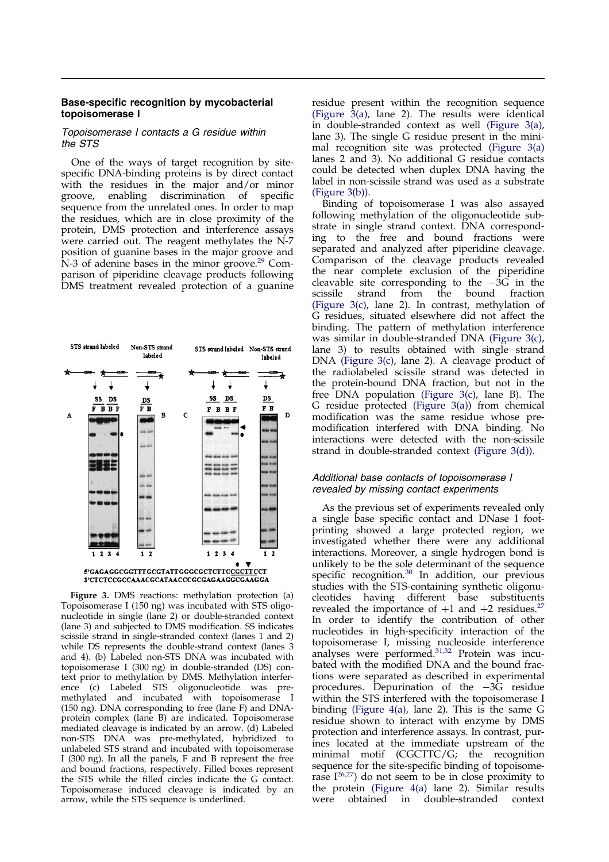# <span id="page-3-0"></span>Base-specific recognition by mycobacterial topoisomerase I

#### Topoisomerase I contacts a G residue within the STS

One of the ways of target recognition by sitespecific DNA-binding proteins is by direct contact with the residues in the major and/or minor groove, enabling discrimination of specific sequence from the unrelated ones. In order to map the residues, which are in close proximity of the protein, DMS protection and interference assays were carried out. The reagent methylates the N-7 position of guanine bases in the major groove and N-3 of adenine bases in the minor groove.<sup>[29](#page-9-0)</sup> Comparison of piperidine cleavage products following DMS treatment revealed protection of a guanine



Figure 3. DMS reactions: methylation protection (a) Topoisomerase I (150 ng) was incubated with STS oligonucleotide in single (lane 2) or double-stranded context (lane 3) and subjected to DMS modification. SS indicates scissile strand in single-stranded context (lanes 1 and 2) while DS represents the double-strand context (lanes 3 and 4). (b) Labeled non-STS DNA was incubated with topoisomerase I (300 ng) in double-stranded (DS) context prior to methylation by DMS. Methylation interference (c) Labeled STS oligonucleotide was premethylated and incubated with topoisomerase I (150 ng). DNA corresponding to free (lane F) and DNAprotein complex (lane B) are indicated. Topoisomerase mediated cleavage is indicated by an arrow. (d) Labeled non-STS DNA was pre-methylated, hybridized to unlabeled STS strand and incubated with topoisomerase I (300 ng). In all the panels, F and B represent the free and bound fractions, respectively. Filled boxes represent the STS while the filled circles indicate the G contact. Topoisomerase induced cleavage is indicated by an arrow, while the STS sequence is underlined.

residue present within the recognition sequence (Figure 3(a), lane 2). The results were identical in double-stranded context as well (Figure 3(a), lane 3). The single G residue present in the minimal recognition site was protected (Figure 3(a) lanes 2 and 3). No additional G residue contacts could be detected when duplex DNA having the label in non-scissile strand was used as a substrate (Figure 3(b)).

Binding of topoisomerase I was also assayed following methylation of the oligonucleotide substrate in single strand context. DNA corresponding to the free and bound fractions were separated and analyzed after piperidine cleavage. Comparison of the cleavage products revealed the near complete exclusion of the piperidine cleavable site corresponding to the  $-3\overline{G}$  in the scissile strand from the bound fraction from the (Figure 3(c), lane 2). In contrast, methylation of G residues, situated elsewhere did not affect the binding. The pattern of methylation interference was similar in double-stranded DNA (Figure 3(c), lane 3) to results obtained with single strand DNA (Figure 3(c), lane 2). A cleavage product of the radiolabeled scissile strand was detected in the protein-bound DNA fraction, but not in the free DNA population (Figure 3(c), lane B). The G residue protected (Figure 3(a)) from chemical modification was the same residue whose premodification interfered with DNA binding. No interactions were detected with the non-scissile strand in double-stranded context (Figure 3(d)).

# Additional base contacts of topoisomerase I revealed by missing contact experiments

As the previous set of experiments revealed only a single base specific contact and DNase I footprinting showed a large protected region, we investigated whether there were any additional interactions. Moreover, a single hydrogen bond is unlikely to be the sole determinant of the sequence specific recognition.<sup>[30](#page-9-0)</sup> In addition, our previous studies with the STS-containing synthetic oligonucleotides having different base substituents revealed the importance of  $+1$  and  $+2$  residues.<sup>[27](#page-9-0)</sup> In order to identify the contribution of other nucleotides in high-specificity interaction of the topoisomerase I, missing nucleoside interference analyses were performed. [31,32](#page-9-0) Protein was incubated with the modified DNA and the bound fractions were separated as described in experimental procedures. Depurination of the  $-\overline{3}\overline{G}$  residue within the STS interfered with the topoisomerase I binding [\(Figure](#page-4-0) 4(a), lane 2). This is the same G residue shown to interact with enzyme by DMS protection and interference assays. In contrast, purines located at the immediate upstream of the minimal motif (CGCTTC/G; the recognition sequence for the site-specific binding of topoisomerase  $I^{26,27}$  $I^{26,27}$  $I^{26,27}$ ) do not seem to be in close proximity to the protein [\(Figure](#page-4-0) 4(a) lane 2). Similar results<br>were obtained in double-stranded context obtained in double-stranded context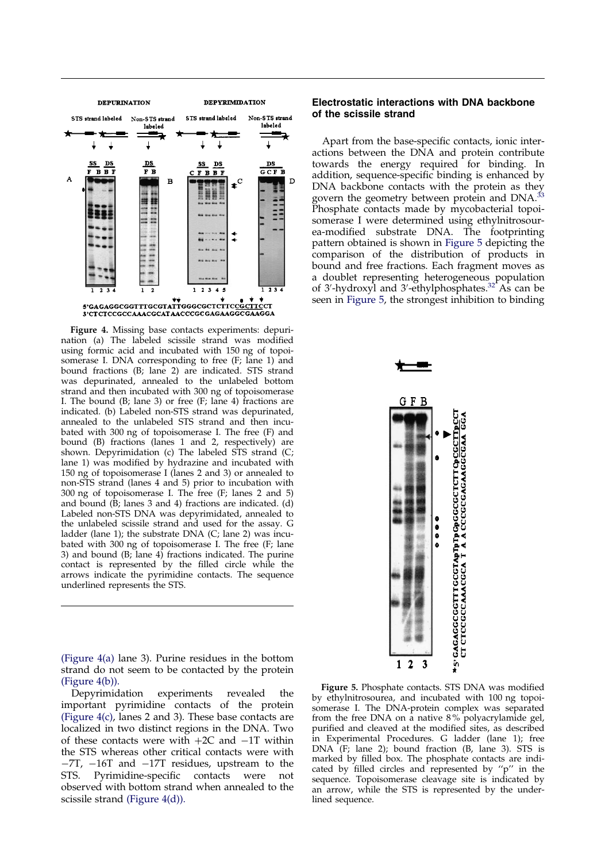<span id="page-4-0"></span>

Figure 4. Missing base contacts experiments: depurination (a) The labeled scissile strand was modified using formic acid and incubated with 150 ng of topoisomerase I. DNA corresponding to free (F; lane 1) and bound fractions (B; lane 2) are indicated. STS strand was depurinated, annealed to the unlabeled bottom strand and then incubated with 300 ng of topoisomerase I. The bound  $(B; \text{lane } 3)$  or free  $(F; \text{lane } 4)$  fractions are indicated. (b) Labeled non-STS strand was depurinated, annealed to the unlabeled STS strand and then incubated with 300 ng of topoisomerase I. The free (F) and bound (B) fractions (lanes 1 and 2, respectively) are shown. Depyrimidation (c) The labeled STS strand (C; lane 1) was modified by hydrazine and incubated with 150 ng of topoisomerase I (lanes 2 and 3) or annealed to non-STS strand (lanes 4 and 5) prior to incubation with 300 ng of topoisomerase I. The free (F; lanes 2 and 5) and bound  $(\dot{B})$ ; lanes 3 and 4) fractions are indicated. (d) Labeled non-STS DNA was depyrimidated, annealed to the unlabeled scissile strand and used for the assay. G ladder (lane 1); the substrate DNA (C; lane 2) was incubated with 300 ng of topoisomerase I. The free (F; lane 3) and bound  $(B;$  lane  $A)$  fractions indicated. The purine contact is represented by the filled circle while the arrows indicate the pyrimidine contacts. The sequence underlined represents the STS.

(Figure 4(a) lane 3). Purine residues in the bottom strand do not seem to be contacted by the protein (Figure 4(b)).

Depyrimidation experiments revealed the important pyrimidine contacts of the protein (Figure 4(c), lanes 2 and 3). These base contacts are localized in two distinct regions in the DNA. Two of these contacts were with  $+2C$  and  $-1T$  within the STS whereas other critical contacts were with  $-7T$ ,  $-16T$  and  $-17T$  residues, upstream to the STS. Pyrimidine-specific contacts were not STS. Pyrimidine-specific observed with bottom strand when annealed to the scissile strand (Figure 4(d)).

### Electrostatic interactions with DNA backbone of the scissile strand

Apart from the base-specific contacts, ionic interactions between the DNA and protein contribute towards the energy required for binding. In addition, sequence-specific binding is enhanced by DNA backbone contacts with the protein as they govern the geometry between protein and DNA.<sup>[33](#page-9-0)</sup> Phosphate contacts made by mycobacterial topoisomerase I were determined using ethylnitrosourea-modified substrate DNA. The footprinting pattern obtained is shown in Figure 5 depicting the comparison of the distribution of products in bound and free fractions. Each fragment moves as a doublet representing heterogeneous population of 3'-hydroxyl and 3'-ethylphosphates.<sup>32</sup> As can be seen in Figure 5, the strongest inhibition to binding



Figure 5. Phosphate contacts. STS DNA was modified by ethylnitrosourea, and incubated with 100 ng topoisomerase I. The DNA-protein complex was separated from the free DNA on a native 8 % polyacrylamide gel, purified and cleaved at the modified sites, as described in Experimental Procedures. G ladder (lane 1); free DNA (F; lane 2); bound fraction (B, lane 3). STS is marked by filled box. The phosphate contacts are indicated by filled circles and represented by " $p$ " in the sequence. Topoisomerase cleavage site is indicated by an arrow, while the STS is represented by the underlined sequence.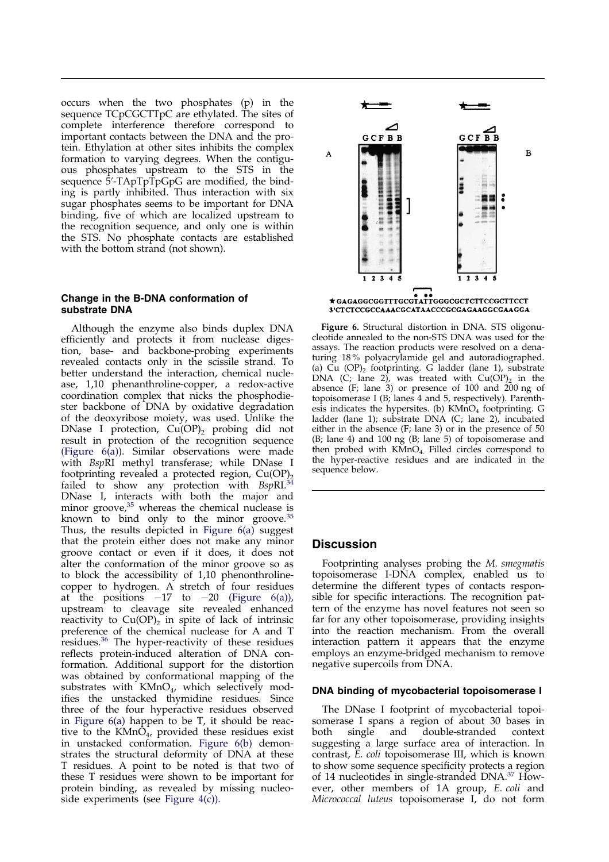occurs when the two phosphates (p) in the sequence TCpCGCTTpC are ethylated. The sites of complete interference therefore correspond to important contacts between the DNA and the protein. Ethylation at other sites inhibits the complex formation to varying degrees. When the contiguous phosphates upstream to the STS in the sequence 5'-TApTpTpGpG are modified, the binding is partly inhibited. Thus interaction with six sugar phosphates seems to be important for DNA binding, five of which are localized upstream to the recognition sequence, and only one is within the STS. No phosphate contacts are established with the bottom strand (not shown).

## Change in the B-DNA conformation of substrate DNA

Although the enzyme also binds duplex DNA efficiently and protects it from nuclease digestion, base- and backbone-probing experiments revealed contacts only in the scissile strand. To better understand the interaction, chemical nuclease, 1,10 phenanthroline-copper, a redox-active coordination complex that nicks the phosphodiester backbone of DNA by oxidative degradation of the deoxyribose moiety, was used. Unlike the DNase I protection,  $Cu(OP)_2$  probing did not result in protection of the recognition sequence (Figure  $6(a)$ ). Similar observations were made with BspRI methyl transferase; while DNase I footprinting revealed a protected region,  $Cu(OP)_{2}$ failed to show any protection with  $BspRI.<sup>34</sup>$  $BspRI.<sup>34</sup>$  $BspRI.<sup>34</sup>$ DNase I, in[terac](#page-9-0)ts with both the major and minor groove, <sup>35</sup> whereas the chemical nuclease is known to bind only to the minor groove.<sup>[35](#page-9-0)</sup> Thus, the results depicted in Figure 6(a) suggest that the protein either does not make any minor groove contact or even if it does, it does not alter the conformation of the minor groove so as to block the accessibility of 1,10 phenonthrolinecopper to hydrogen. A stretch of four residues at the positions  $-17$  to  $-20$  (Figure 6(a)), upstream to cleavage site revealed enhanced reactivity to  $Cu(OP)_{2}$  in spite of lack of intrinsic preference of the chemical nuclease for A and T residues.<sup>[36](#page-9-0)</sup> The hyper-reactivity of these residues reflects protein-induced alteration of DNA conformation. Additional support for the distortion was obtained by conformational mapping of the substrates with  $KMnO<sub>4</sub>$ , which selectively modifies the unstacked thymidine residues. Since three of the four hyperactive residues observed in Figure 6(a) happen to be T, it should be reactive to the  $KMn\overline{O}_4$ , provided these residues exist in unstacked conformation. Figure 6(b) demonstrates the structural deformity of DNA at these T residues. A point to be noted is that two of these T residues were shown to be important for protein binding, as revealed by missing nucleoside experiments (see [Figure](#page-4-0) 4(c)).



Figure 6. Structural distortion in DNA. STS oligonucleotide annealed to the non-STS DNA was used for the assays. The reaction products were resolved on a denaturing 18 % polyacrylamide gel and autoradiographed. (a) Cu  $(OP)_2$  footprinting. G ladder (lane 1), substrate DNA (C; lane 2), was treated with  $Cu(OP)_2$  in the absence (F; lane  $3$ ) or presence of 100 and  $200$  ng of topoisomerase I (B; lanes 4 and 5, respectively). Parenthesis indicates the hypersites. (b)  $KMnO<sub>4</sub>$  footprinting. G ladder (lane 1); substrate DNA (C; lane 2), incubated either in the absence (F; lane 3) or in the presence of 50 (B; lane 4) and 100 ng (B; lane 5) of topoisomerase and then probed with  $KMD<sub>4</sub>$ . Filled circles correspond to the hyper-reactive residues and are indicated in the sequence below.

# **Discussion**

Footprinting analyses probing the M. smegmatis topoisomerase I-DNA complex, enabled us to determine the different types of contacts responsible for specific interactions. The recognition pattern of the enzyme has novel features not seen so far for any other topoisomerase, providing insights into the reaction mechanism. From the overall interaction pattern it appears that the enzyme employs an enzyme-bridged mechanism to remove negative supercoils from DNA.

#### DNA binding of mycobacterial topoisomerase I

The DNase I footprint of mycobacterial topoisomerase I spans a region of about 30 bases in<br>both single and double-stranded context both single and double-stranded context suggesting a large surface area of interaction. In contrast, E. coli topoisomerase III, which is known to show some sequence specificity protect[s a r](#page-9-0)egion of 14 nucleotides in single-stranded DNA.<sup>37</sup> However, other members of 1A group, E. coli and Micrococcal luteus topoisomerase I, do not form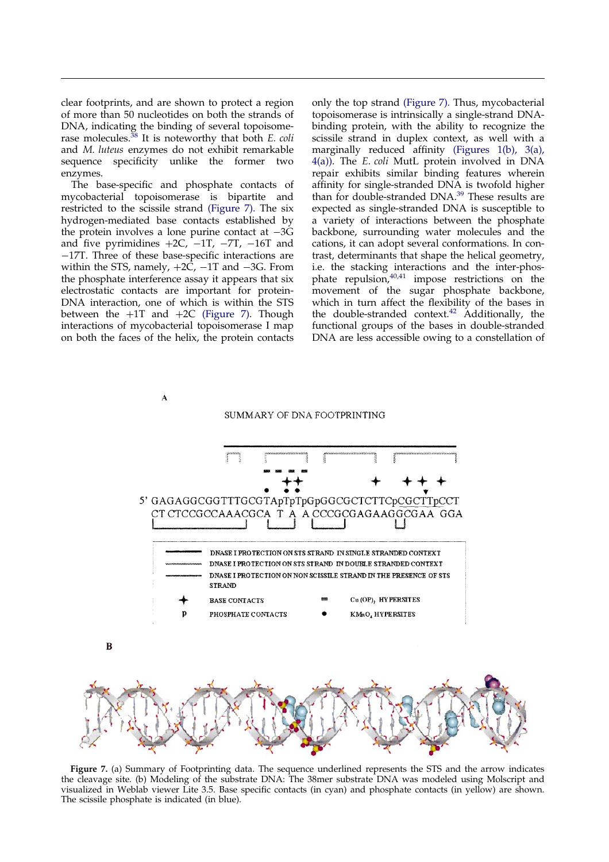<span id="page-6-0"></span>clear footprints, and are shown to protect a region of more than 50 nucleotides on both the strands of DNA, indicating the binding of several topoisome-rase molecules.<sup>[38](#page-9-0)</sup> It is noteworthy that both *E. coli* and M. luteus enzymes do not exhibit remarkable sequence specificity unlike the former two enzymes.

The base-specific and phosphate contacts of mycobacterial topoisomerase is bipartite and restricted to the scissile strand (Figure 7). The six hydrogen-mediated base contacts established by the protein involves a lone purine contact at  $-3G$ and five pyrimidines  $+2C$ ,  $-1T$ ,  $-7T$ ,  $-16T$  and  $-17$ . Three of these base-specific interactions are within the STS, namely,  $+2\overline{C}$ ,  $-1T$  and  $-3G$ . From the phosphate interference assay it appears that six electrostatic contacts are important for protein-DNA interaction, one of which is within the STS between the  $+1T$  and  $+2C$  (Figure 7). Though interactions of mycobacterial topoisomerase I map on both the faces of the helix, the protein contacts

only the top strand (Figure 7). Thus, mycobacterial topoisomerase is intrinsically a single-strand DNAbinding protein, with the ability to recognize the scissile strand in duplex context, as well with a marginally reduced affinity [\(Figures](#page-1-0) 1(b), [3\(a\),](#page-3-0) [4\(a\)\).](#page-4-0) The E. coli MutL protein involved in DNA repair exhibits similar binding features wherein affinity for single-stranded DNA is twofold higher than for double-stranded DNA. [39](#page-9-0) These results are expected as single-stranded DNA is susceptible to a variety of interactions between the phosphate backbone, surrounding water molecules and the cations, it can adopt several conformations. In contrast, determinants that shape the helical geometry, i.e. the stacking interactions and the inter-phos-phate repulsion, <sup>[40,41](#page-9-0)</sup> impose restrictions on the movement of the sugar phosphate backbone, which in turn affect the flexibility of the bases in the double-stranded context.<sup>[42](#page-10-0)</sup> Additionally, the functional groups of the bases in double-stranded DNA are less accessible owing to a constellation of



#### SUMMARY OF DNA FOOTPRINTING



Figure 7. (a) Summary of Footprinting data. The sequence underlined represents the STS and the arrow indicates the cleavage site. (b) Modeling of the substrate DNA: The 38mer substrate DNA was modeled using Molscript and visualized in Weblab viewer Lite 3.5. Base specific contacts (in cyan) and phosphate contacts (in yellow) are shown. The scissile phosphate is indicated (in blue).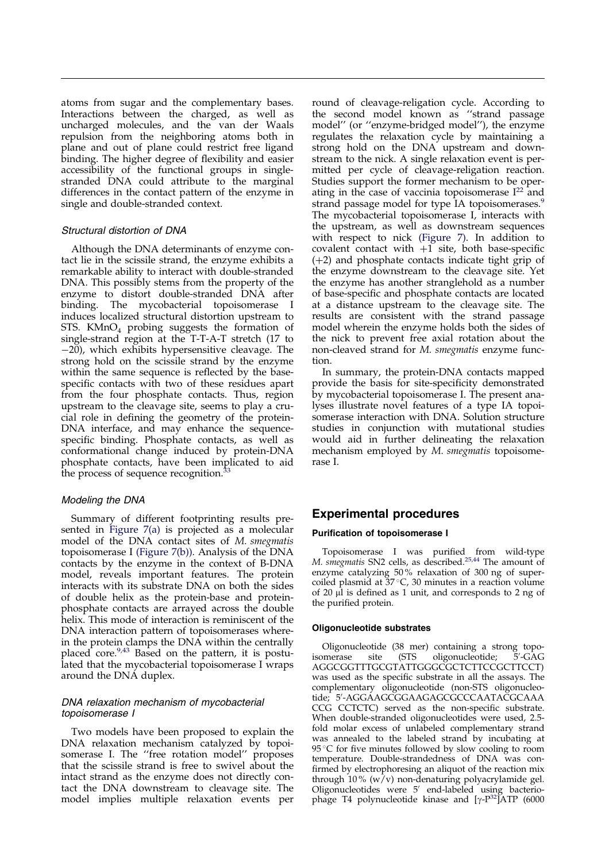atoms from sugar and the complementary bases. Interactions between the charged, as well as uncharged molecules, and the van der Waals repulsion from the neighboring atoms both in plane and out of plane could restrict free ligand binding. The higher degree of flexibility and easier accessibility of the functional groups in singlestranded DNA could attribute to the marginal differences in the contact pattern of the enzyme in single and double-stranded context.

# Structural distortion of DNA

Although the DNA determinants of enzyme contact lie in the scissile strand, the enzyme exhibits a remarkable ability to interact with double-stranded DNA. This possibly stems from the property of the enzyme to distort double-stranded DNA after binding. The mycobacterial topoisomerase I induces localized structural distortion upstream to STS.  $KMnO<sub>4</sub>$  probing suggests the formation of single-strand region at the T-T-A-T stretch (17 to  $-20$ ), which exhibits hypersensitive cleavage. The strong hold on the scissile strand by the enzyme within the same sequence is reflected by the basespecific contacts with two of these residues apart from the four phosphate contacts. Thus, region upstream to the cleavage site, seems to play a crucial role in defining the geometry of the protein-DNA interface, and may enhance the sequencespecific binding. Phosphate contacts, as well as conformational change induced by protein-DNA phosphate contacts, have been implicated to aid the process of sequence recognition.<sup>[33](#page-9-0)</sup>

### Modeling the DNA

Summary of different footprinting results presented in [Figure](#page-6-0) 7(a) is projected as a molecular model of the DNA contact sites of M. smegmatis topoisomerase I [\(Figure](#page-6-0) 7(b)). Analysis of the DNA contacts by the enzyme in the context of B-DNA model, reveals important features. The protein interacts with its substrate DNA on both the sides of double helix as the protein-base and proteinphosphate contacts are arrayed across the double helix. This mode of interaction is reminiscent of the DNA interaction pattern of topoisomerases wherein the protein clamps the DNA within the centrally placed core.<sup>[9,](#page-9-0)[43](#page-10-0)</sup> Based on the pattern, it is postulated that the mycobacterial topoisomerase I wraps around the DNA duplex.

### DNA relaxation mechanism of mycobacterial topoisomerase I

Two models have been proposed to explain the DNA relaxation mechanism catalyzed by topoisomerase I. The "free rotation model" proposes that the scissile strand is free to swivel about the intact strand as the enzyme does not directly contact the DNA downstream to cleavage site. The model implies multiple relaxation events per

round of cleavage-religation cycle. According to the second model known as "strand passage model" (or "enzyme-bridged model"), the enzyme regulates the relaxation cycle by maintaining a strong hold on the DNA upstream and downstream to the nick. A single relaxation event is permitted per cycle of cleavage-religation reaction. Studies support the former mechanism to be operating in the case of vaccinia topoisomerase  $I^{22}$  $I^{22}$  $I^{22}$  and strand passage model for type IA topoisomerases.<sup>9</sup> The mycobacterial topoisomerase I, interacts with the upstream, as well as downstream sequences with respect to nick [\(Figure](#page-6-0) 7). In addition to covalent contact with  $+1$  site, both base-specific  $(+2)$  and phosphate contacts indicate tight grip of the enzyme downstream to the cleavage site. Yet the enzyme has another stranglehold as a number of base-specific and phosphate contacts are located at a distance upstream to the cleavage site. The results are consistent with the strand passage model wherein the enzyme holds both the sides of the nick to prevent free axial rotation about the non-cleaved strand for M. smegmatis enzyme function.

In summary, the protein-DNA contacts mapped provide the basis for site-specificity demonstrated by mycobacterial topoisomerase I. The present analyses illustrate novel features of a type IA topoisomerase interaction with DNA. Solution structure studies in conjunction with mutational studies would aid in further delineating the relaxation mechanism employed by M. smegmatis topoisomerase I.

# Experimental procedures

#### Purification of topoisomerase I

Topoisomerase I was purifie[d](#page-9-0) [fr](#page-10-0)om wild-type M. smegmatis SN2 cells, as described.<sup>25,44</sup> The amount of enzyme catalyzing 50 % relaxation of 300 ng of supercoiled plasmid at  $37^{\circ}$ C, 30 minutes in a reaction volume of 20  $\mu$ l is defined as 1 unit, and corresponds to 2 ng of the purified protein.

#### Oligonucleotide substrates

Oligonucleotide (38 mer) containing a strong topoisomerase site (STS oligonucleotide;  $5'$ -GAG AGGCGGTTTGCGTATTGGGCGCTCTTCCGCTTCCT) was used as the specific substrate in all the assays. The complementary oligonucleotide (non-STS oligonucleotide; 5<sup>0</sup> -AGGAAGCGGAAGAGCGCCCAATACGCAAA CCG CCTCTC) served as the non-specific substrate. When double-stranded oligonucleotides were used, 2.5 fold molar excess of unlabeled complementary strand was annealed to the labeled strand by incubating at  $95^{\circ}$ C for five minutes followed by slow cooling to room temperature. Double-strandedness of DNA was con firmed by electrophoresing an aliquot of the reaction mix through  $10\%$  (w/v) non-denaturing polyacrylamide gel. Oligonucleotides were 5' end-labeled using bacterio-phage T4 polynucleotide kinase and [γ-P<sup>[32](#page-9-0)</sup>]ATP (6000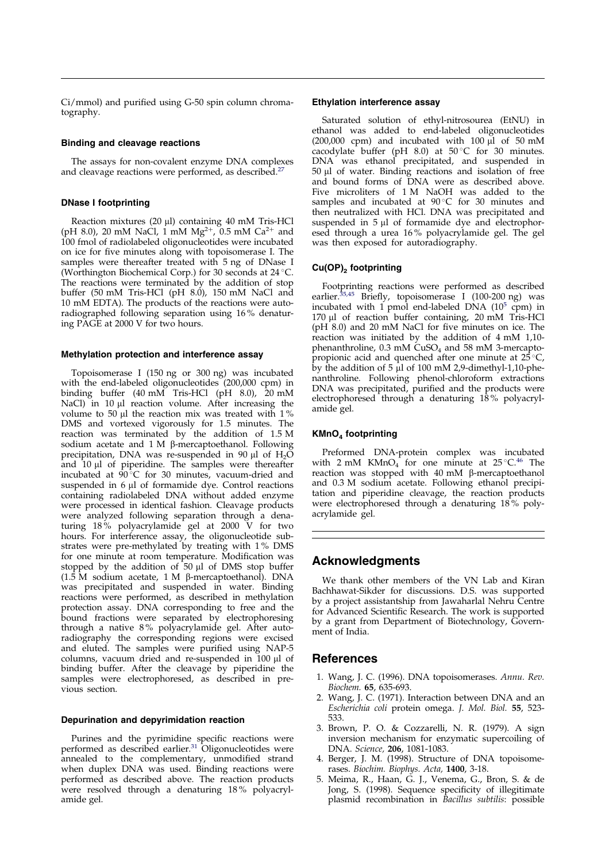<span id="page-8-0"></span> $Ci/mmol$ ) and purified using  $G$ -50 spin column chromatography.

#### Binding and cleavage reactions

The assays for non-covalent enzyme DNA complexes and cleavage reactions were performed, as described.<sup>2</sup>

#### DNase I footprinting

Reaction mixtures (20 µl) containing 40 mM Tris-HCl (pH 8.0), 20 mM NaCl, 1 mM Mg<sup>2+</sup>, 0.5 mM Ca<sup>2+</sup> and 100 fmol of radiolabeled oligonucleotides were incubated on ice for five minutes along with topoisomerase I. The samples were thereafter treated with 5 ng of DNase I (Worthington Biochemical Corp.) for 30 seconds at 24 C. The reactions were terminated by the addition of stop buffer (50 mM Tris-HCl (pH 8.0), 150 mM NaCl and 10 mM EDTA). The products of the reactions were autoradiographed following separation using 16 % denaturing PAGE at 2000 V for two hours.

#### Methylation protection and interference assay

Topoisomerase I (150 ng or 300 ng) was incubated with the end-labeled oligonucleotides (200,000 cpm) in binding buffer (40 mM Tris-HCl (pH 8.0), 20 mM NaCl) in  $10 \mu l$  reaction volume. After increasing the volume to 50  $\mu$ l the reaction mix was treated with 1% DMS and vortexed vigorously for 1.5 minutes. The reaction was terminated by the addition of 1.5 M sodium acetate and  $1 M$   $\beta$ -mercaptoethanol. Following precipitation, DNA was re-suspended in 90  $\mu$ l of H<sub>2</sub>O and 10 µl of piperidine. The samples were thereafter incubated at  $90^{\circ}$ C for 30 minutes, vacuum-dried and suspended in  $6 \mu l$  of formamide dye. Control reactions containing radiolabeled DNA without added enzyme were processed in identical fashion. Cleavage products were analyzed following separation through a denaturing 18 % polyacrylamide gel at 2000 V for two hours. For interference assay, the oligonucleotide substrates were pre-methylated by treating with 1 % DMS for one minute at room temperature. Modification was stopped by the addition of  $50 \mu l$  of DMS stop buffer (1.5 M sodium acetate, 1 M  $\beta$ -mercaptoethanol). DNA was precipitated and suspended in water. Binding reactions were performed, as described in methylation protection assay. DNA corresponding to free and the bound fractions were separated by electrophoresing through a native 8 % polyacrylamide gel. After autoradiography the corresponding regions were excised and eluted. The samples were purified using NAP-5 columns, vacuum dried and re-suspended in 100 µl of binding buffer. After the cleavage by piperidine the samples were electrophoresed, as described in previous section.

#### Depurination and depyrimidation reaction

Purines and the pyrimidine specific reactions were performed as described earlier.<sup>[31](#page-9-0)</sup> Oligonucleotides were annealed to the complementary, unmodified strand when duplex DNA was used. Binding reactions were performed as described above. The reaction products were resolved through a denaturing 18 % polyacrylamide gel.

#### Ethylation interference assay

Saturated solution of ethyl-nitrosourea (EtNU) in ethanol was added to end-labeled oligonucleotides  $(200,000 \text{ cpm})$  and incubated with 100  $\mu$ l of 50 mM cacodylate buffer (pH  $8.0$ ) at  $50^{\circ}$ C for 30 minutes. DNA was ethanol precipitated, and suspended in 50 µl of water. Binding reactions and isolation of free and bound forms of DNA were as described above. Five microliters of 1 M NaOH was added to the samples and incubated at 90°C for 30 minutes and then neutralized with HCl. DNA was precipitated and suspended in  $5 \mu l$  of formamide dye and electrophoresed through a urea 16 % polyacrylamide gel. The gel was then exposed for autoradiography.

#### $Cu(OP)<sub>2</sub>$  footprinting

Footprinting reactions were performed as described earlier.<sup>[35](#page-9-0)[,45](#page-10-0)</sup> Briefly, topoisomerase I (100-200 ng) was incubated with 1 pmol end-labeled DNA  $(10^5 \text{ cm})$  in 170 µl of reaction buffer containing, 20 mM Tris-HCl  $(pH 8.0)$  and 20 mM NaCl for five minutes on ice. The reaction was initiated by the addition of 4 mM 1,10 phenanthroline,  $0.3$  mM  $CuSO<sub>4</sub>$  and  $58$  mM 3-mercaptopropionic acid and quenched after one minute at  $25^{\circ}C$ , by the addition of 5  $\mu$ l of 100 mM 2,9-dimethyl-1,10-phenanthroline. Following phenol-chloroform extractions DNA was precipitated, purified and the products were electrophoresed through a denaturing 18 % polyacrylamide gel.

#### $KMnO<sub>4</sub>$  footprinting

Preformed DNA-protein complex was incubated with  $2 \text{ mM }$  KMnO<sub>4</sub> for one minute at  $25^{\circ}$ C.<sup>[46](#page-10-0)</sup> The reaction was stopped with  $40 \text{ mM}$   $\beta$ -mercaptoethanol and 0.3 M sodium acetate. Following ethanol precipitation and piperidine cleavage, the reaction products were electrophoresed through a denaturing  $18\%$  polyacrylamide gel.

# Acknowledgments

We thank other members of the VN Lab and Kiran Bachhawat-Sikder for discussions. D.S. was supported by a project assistantship from Jawaharlal Nehru Centre for Advanced Scientific Research. The work is supported by a grant from Department of Biotechnology, Government of India.

# **References**

- 1. Wang, J. C. (1996). DNA topoisomerases. Annu. Rev. Biochem. 65, 635-693.
- 2. Wang, J. C. (1971). Interaction between DNA and an Escherichia coli protein omega. J. Mol. Biol. 55, 523- 533.
- 3. Brown, P. O. & Cozzarelli, N. R. (1979). A sign inversion mechanism for enzymatic supercoiling of DNA. Science, 206, 1081-1083.
- 4. Berger, J. M. (1998). Structure of DNA topoisomerases. Biochim. Biophys. Acta, 1400, 3-18.
- 5. Meima, R., Haan, G. J., Venema, G., Bron, S. & de Jong, S. (1998). Sequence specificity of illegitimate plasmid recombination in Bacillus subtilis: possible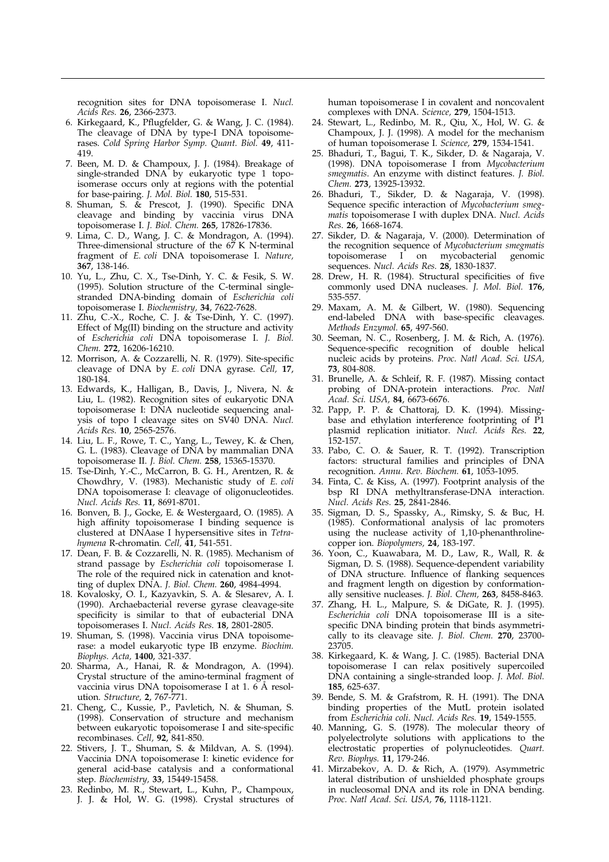<span id="page-9-0"></span>recognition sites for DNA topoisomerase I. Nucl. Acids Res. 26, 2366-2373.

- 6. Kirkegaard, K., Pflugfelder, G. & Wang, J. C. (1984). The cleavage of DNA by type-I DNA topoisomerases. Cold Spring Harbor Symp. Quant. Biol. 49, 411- 419.
- 7. Been, M. D. & Champoux, J. J. (1984). Breakage of single-stranded DNA by eukaryotic type 1 topoisomerase occurs only at regions with the potential for base-pairing. J. Mol. Biol. 180, 515-531.
- 8. Shuman, S. & Prescot, J. (1990). Specific DNA cleavage and binding by vaccinia virus DNA topoisomerase I. J. Biol. Chem. 265, 17826-17836.
- 9. Lima, C. D., Wang, J. C. & Mondragon, A. (1994). Three-dimensional structure of the 67 K N-terminal fragment of E. coli DNA topoisomerase I. Nature, 367, 138-146.
- 10. Yu, L., Zhu, C. X., Tse-Dinh, Y. C. & Fesik, S. W. (1995). Solution structure of the C-terminal singlestranded DNA-binding domain of Escherichia coli topoisomerase I. Biochemistry, 34, 7622-7628.
- 11. Zhu, C.-X., Roche, C. J. & Tse-Dinh, Y. C. (1997). Effect of Mg(II) binding on the structure and activity of Escherichia coli DNA topoisomerase I. J. Biol. Chem. 272, 16206-16210.
- 12. Morrison, A. & Cozzarelli, N. R. (1979). Site-specific cleavage of DNA by E. coli DNA gyrase. Cell, 17, 180-184.
- 13. Edwards, K., Halligan, B., Davis, J., Nivera, N. & Liu, L. (1982). Recognition sites of eukaryotic DNA topoisomerase I: DNA nucleotide sequencing analysis of topo I cleavage sites on SV40 DNA. Nucl. Acids Res. 10, 2565-2576.
- 14. Liu, L. F., Rowe, T. C., Yang, L., Tewey, K. & Chen, G. L. (1983). Cleavage of DNA by mammalian DNA topoisomerase II. J. Biol. Chem. 258, 15365-15370.
- 15. Tse-Dinh, Y.-C., McCarron, B. G. H., Arentzen, R. & Chowdhry, V. (1983). Mechanistic study of E. coli DNA topoisomerase I: cleavage of oligonucleotides. Nucl. Acids Res. 11, 8691-8701.
- 16. Bonven, B. J., Gocke, E. & Westergaard, O. (1985). A high affinity topoisomerase I binding sequence is clustered at DNAase I hypersensitive sites in Tetrahymena R-chromatin. Cell, 41, 541-551.
- 17. Dean, F. B. & Cozzarelli, N. R. (1985). Mechanism of strand passage by Escherichia coli topoisomerase I. The role of the required nick in catenation and knotting of duplex DNA. J. Biol. Chem. 260, 4984-4994.
- 18. Kovalosky, O. I., Kazyavkin, S. A. & Slesarev, A. I. (1990). Archaebacterial reverse gyrase cleavage-site specificity is similar to that of eubacterial DNA topoisomerases I. Nucl. Acids Res. 18, 2801-2805.
- 19. Shuman, S. (1998). Vaccinia virus DNA topoisomerase: a model eukaryotic type IB enzyme. Biochim. Biophys. Acta, 1400, 321-337.
- 20. Sharma, A., Hanai, R. & Mondragon, A. (1994). Crystal structure of the amino-terminal fragment of vaccinia virus DNA topoisomerase I at 1.  $6$  Å resolution. Structure, 2, 767-771.
- 21. Cheng, C., Kussie, P., Pavletich, N. & Shuman, S. (1998). Conservation of structure and mechanism between eukaryotic topoisomerase I and site-specific recombinases. Cell, 92, 841-850.
- 22. Stivers, J. T., Shuman, S. & Mildvan, A. S. (1994). Vaccinia DNA topoisomerase I: kinetic evidence for general acid-base catalysis and a conformational step. Biochemistry, 33, 15449-15458.
- 23. Redinbo, M. R., Stewart, L., Kuhn, P., Champoux, J. J. & Hol, W. G. (1998). Crystal structures of

human topoisomerase I in covalent and noncovalent complexes with DNA. Science, 279, 1504-1513.

- 24. Stewart, L., Redinbo, M. R., Qiu, X., Hol, W. G. & Champoux, J. J. (1998). A model for the mechanism of human topoisomerase I. Science, 279, 1534-1541.
- 25. Bhaduri, T., Bagui, T. K., Sikder, D. & Nagaraja, V. (1998). DNA topoisomerase I from Mycobacterium smegmatis. An enzyme with distinct features. J. Biol. Chem. 273, 13925-13932.
- 26. Bhaduri, T., Sikder, D. & Nagaraja, V. (1998). Sequence specific interaction of Mycobacterium smegmatis topoisomerase I with duplex DNA. Nucl. Acids Res. 26, 1668-1674.
- 27. Sikder, D. & Nagaraja, V. (2000). Determination of the recognition sequence of Mycobacterium smegmatis topoisomerase I on mycobacterial genomic sequences. Nucl. Acids Res. 28, 1830-1837.
- 28. Drew, H. R. (1984). Structural specificities of five commonly used DNA nucleases. J. Mol. Biol. 176, 535-557.
- 29. Maxam, A. M. & Gilbert, W. (1980). Sequencing end-labeled DNA with base-specific cleavages. Methods Enzymol. 65, 497-560.
- 30. Seeman, N. C., Rosenberg, J. M. & Rich, A. (1976). Sequence-specific recognition of double helical nucleic acids by proteins. Proc. Natl Acad. Sci. USA, 73, 804-808.
- 31. Brunelle, A. & Schleif, R. F. (1987). Missing contact probing of DNA-protein interactions. Proc. Natl Acad. Sci. USA, 84, 6673-6676.
- 32. Papp, P. P. & Chattoraj, D. K. (1994). Missingbase and ethylation interference footprinting of P1 plasmid replication initiator. Nucl. Acids Res. 22, 152-157.
- 33. Pabo, C. O. & Sauer, R. T. (1992). Transcription factors: structural families and principles of DNA recognition. Annu. Rev. Biochem. 61, 1053-1095.
- 34. Finta, C. & Kiss, A. (1997). Footprint analysis of the bsp RI DNA methyltransferase-DNA interaction. Nucl. Acids Res. 25, 2841-2846.
- 35. Sigman, D. S., Spassky, A., Rimsky, S. & Buc, H. (1985). Conformational analysis of lac promoters using the nuclease activity of 1,10-phenanthrolinecopper ion. Biopolymers, 24, 183-197.
- 36. Yoon, C., Kuawabara, M. D., Law, R., Wall, R. & Sigman, D. S. (1988). Sequence-dependent variability of DNA structure. Influence of flanking sequences and fragment length on digestion by conformationally sensitive nucleases. J. Biol. Chem, 263, 8458-8463.
- 37. Zhang, H. L., Malpure, S. & DiGate, R. J. (1995). Escherichia coli DNA topoisomerase III is a sitespecific DNA binding protein that binds asymmetrically to its cleavage site. J. Biol. Chem. 270, 23700- 23705.
- 38. Kirkegaard, K. & Wang, J. C. (1985). Bacterial DNA topoisomerase I can relax positively supercoiled DNA containing a single-stranded loop. J. Mol. Biol. 185, 625-637.
- 39. Bende, S. M. & Grafstrom, R. H. (1991). The DNA binding properties of the MutL protein isolated from Escherichia coli. Nucl. Acids Res. 19, 1549-1555.
- 40. Manning, G. S. (1978). The molecular theory of polyelectrolyte solutions with applications to the electrostatic properties of polynucleotides. Quart. Rev. Biophys. 11, 179-246.
- 41. Mirzabekov, A. D. & Rich, A. (1979). Asymmetric lateral distribution of unshielded phosphate groups in nucleosomal DNA and its role in DNA bending. Proc. Natl Acad. Sci. USA, 76, 1118-1121.